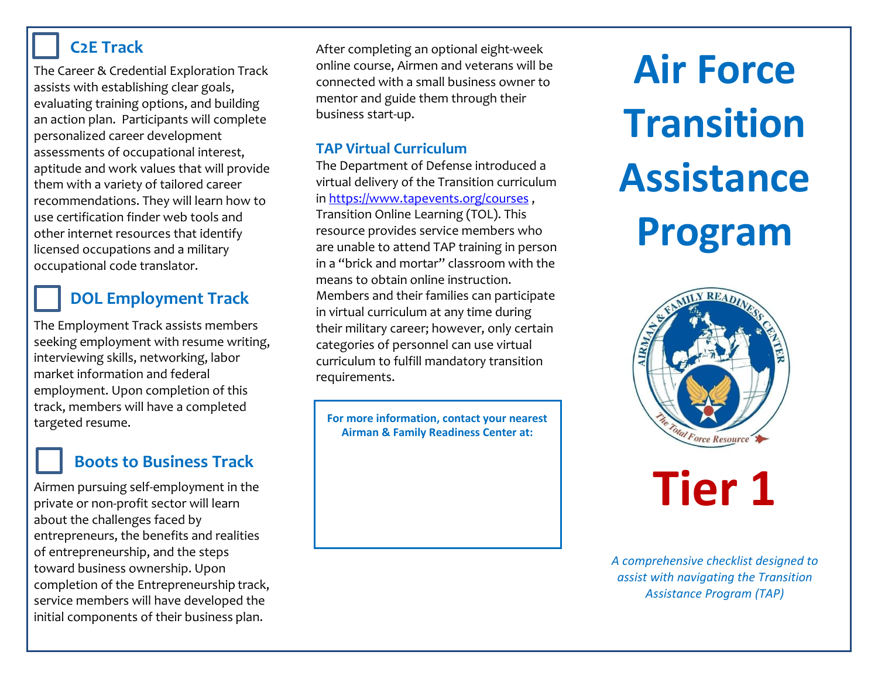#### **C2E Track**

The Career & Credential Exploration Track assists with establishing clear goals, evaluating training options, and building an action plan. Participants will complete personalized career development assessments of occupational interest, aptitude and work values that will provide them with a variety of tailored career recommendations. They will learn how to use certification finder web tools and other internet resources that identify licensed occupations and a military occupational code translator.

## **DOL Employment Track**

The Employment Track assists members seeking employment with resume writing, interviewing skills, networking, labor market information and federal employment. Upon completion of this track, members will have a completed targeted resume.

## **Boots to Business Track**

Airmen pursuing self-employment in the private or non-profit sector will learn about the challenges faced by entrepreneurs, the benefits and realities of entrepreneurship, and the steps toward business ownership. Upon completion of the Entrepreneurship track, service members will have developed the initial components of their business plan.

After completing an optional eight-week online course, Airmen and veterans will be connected with a small business owner to mentor and guide them through their business start-up.

#### **TAP Virtual Curriculum**

The Department of Defense introduced a virtual delivery of the Transition curriculum i[n https://www.tapevents.org/courses](https://www.tapevents.org/courses), Transition Online Learning (TOL). This resource provides service members who are unable to attend TAP training in person in a "brick and mortar" classroom with the means to obtain online instruction. Members and their families can participate in virtual curriculum at any time during their military career; however, only certain categories of personnel can use virtual curriculum to fulfill mandatory transition requirements.

**For more information, contact your nearest Airman & Family Readiness Center at:**

**Air Force Transition Assistance Program**



# **Tier 1**

*A comprehensive checklist designed to assist with navigating the Transition Assistance Program (TAP)*